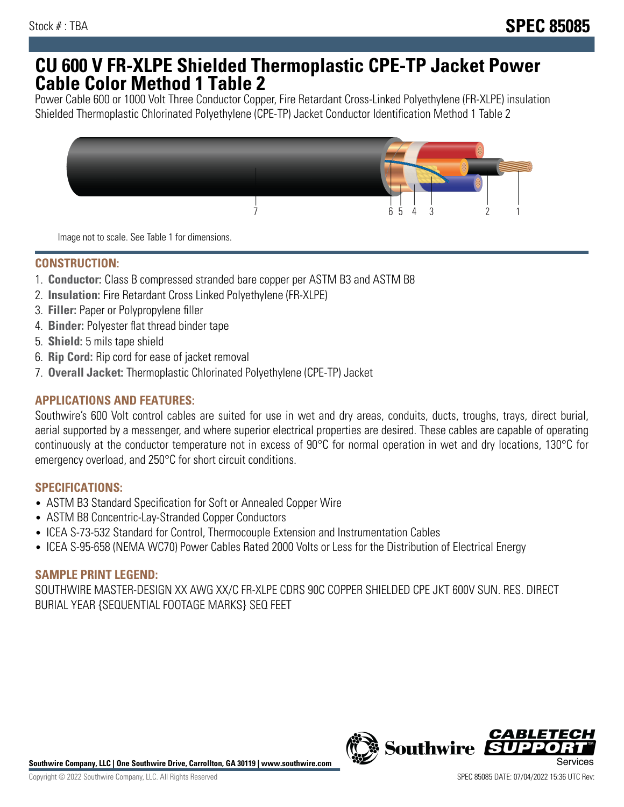## **CU 600 V FR-XLPE Shielded Thermoplastic CPE-TP Jacket Power Cable Color Method 1 Table 2**

Power Cable 600 or 1000 Volt Three Conductor Copper, Fire Retardant Cross-Linked Polyethylene (FR-XLPE) insulation Shielded Thermoplastic Chlorinated Polyethylene (CPE-TP) Jacket Conductor Identification Method 1 Table 2



Image not to scale. See Table 1 for dimensions.

## **CONSTRUCTION:**

- 1. **Conductor:** Class B compressed stranded bare copper per ASTM B3 and ASTM B8
- 2. **Insulation:** Fire Retardant Cross Linked Polyethylene (FR-XLPE)
- 3. **Filler:** Paper or Polypropylene filler
- 4. **Binder:** Polyester flat thread binder tape
- 5. **Shield:** 5 mils tape shield
- 6. **Rip Cord:** Rip cord for ease of jacket removal
- 7. **Overall Jacket:** Thermoplastic Chlorinated Polyethylene (CPE-TP) Jacket

### **APPLICATIONS AND FEATURES:**

Southwire's 600 Volt control cables are suited for use in wet and dry areas, conduits, ducts, troughs, trays, direct burial, aerial supported by a messenger, and where superior electrical properties are desired. These cables are capable of operating continuously at the conductor temperature not in excess of 90°C for normal operation in wet and dry locations, 130°C for emergency overload, and 250°C for short circuit conditions.

#### **SPECIFICATIONS:**

- ASTM B3 Standard Specification for Soft or Annealed Copper Wire
- ASTM B8 Concentric-Lay-Stranded Copper Conductors
- ICEA S-73-532 Standard for Control, Thermocouple Extension and Instrumentation Cables
- ICEA S-95-658 (NEMA WC70) Power Cables Rated 2000 Volts or Less for the Distribution of Electrical Energy

#### **SAMPLE PRINT LEGEND:**

SOUTHWIRE MASTER-DESIGN XX AWG XX/C FR-XLPE CDRS 90C COPPER SHIELDED CPE JKT 600V SUN. RES. DIRECT BURIAL YEAR {SEQUENTIAL FOOTAGE MARKS} SEQ FEET